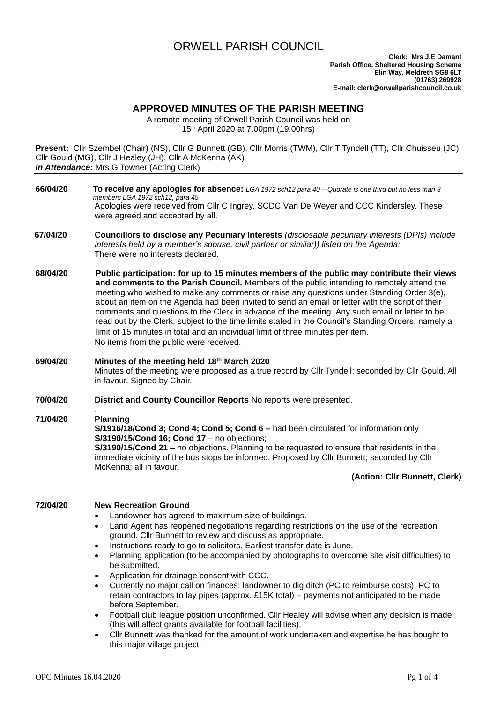# ORWELL PARISH COUNCIL

# **APPROVED MINUTES OF THE PARISH MEETING**

A remote meeting of Orwell Parish Council was held on 15th April 2020 at 7.00pm (19.00hrs)

**Present:** Cllr Szembel (Chair) (NS), Cllr G Bunnett (GB), Cllr Morris (TWM), Cllr T Tyndell (TT), Cllr Chuisseu (JC), Cllr Gould (MG), Cllr J Healey (JH), Cllr A McKenna (AK) **In Attendance:** Mrs G Towner (Acting Clerk)

- **66/04/20 To receive any apologies for absence:** *LGA 1972 sch12 para 40 – Quorate is one third but no less than 3 members LGA 1972 sch12, para 45* Apologies were received from Cllr C Ingrey, SCDC Van De Weyer and CCC Kindersley. These were agreed and accepted by all.
- **67/04/20 Councillors to disclose any Pecuniary Interests** *(disclosable pecuniary interests (DPIs) include interests held by a member's spouse, civil partner or similar)) listed on the Agenda:* There were no interests declared.
- **68/04/20 Public participation: for up to 15 minutes members of the public may contribute their views and comments to the Parish Council.** Members of the public intending to remotely attend the meeting who wished to make any comments or raise any questions under Standing Order 3(e), about an item on the Agenda had been invited to send an email or letter with the script of their comments and questions to the Clerk in advance of the meeting. Any such email or letter to be read out by the Clerk, subject to the time limits stated in the Council's Standing Orders, namely a limit of 15 minutes in total and an individual limit of three minutes per item. No items from the public were received.

**69/04/20 Minutes of the meeting held 18th March 2020** Minutes of the meeting were proposed as a true record by Cllr Tyndell; seconded by Cllr Gould. All in favour. Signed by Chair.

**70/04/20 District and County Councillor Reports** No reports were presented.

#### . **71/04/20 Planning**

**S/1916/18/Cond 3; Cond 4; Cond 5; Cond 6 –** had been circulated for information only **S/3190/15/Cond 16; Cond 17** – no objections; **S/3190/15/Cond 21** – no objections. Planning to be requested to ensure that residents in the immediate vicinity of the bus stops be informed. Proposed by Cllr Bunnett; seconded by Cllr McKenna; all in favour.

### **(Action: Cllr Bunnett, Clerk)**

# **72/04/20 New Recreation Ground**

- Landowner has agreed to maximum size of buildings.
- Land Agent has reopened negotiations regarding restrictions on the use of the recreation ground. Cllr Bunnett to review and discuss as appropriate.
- Instructions ready to go to solicitors. Earliest transfer date is June.
- Planning application (to be accompanied by photographs to overcome site visit difficulties) to be submitted.
- Application for drainage consent with CCC.
- Currently no major call on finances: landowner to dig ditch (PC to reimburse costs); PC to retain contractors to lay pipes (approx. £15K total) – payments not anticipated to be made before September.
- Football club league position unconfirmed. Cllr Healey will advise when any decision is made (this will affect grants available for football facilities).
- Cllr Bunnett was thanked for the amount of work undertaken and expertise he has bought to this major village project.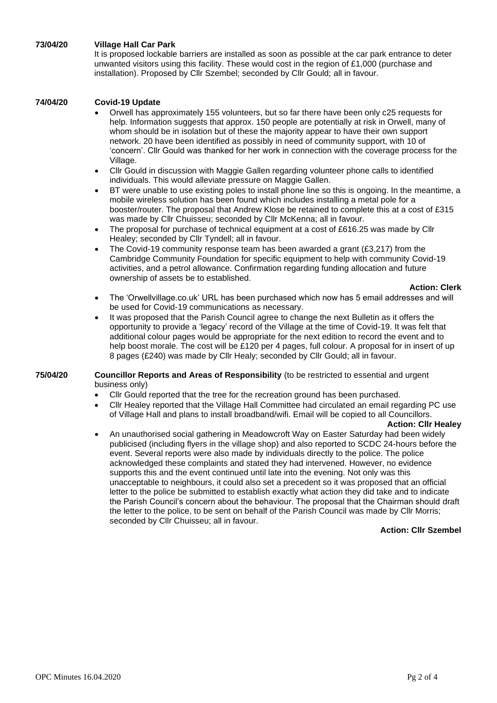# **73/04/20 Village Hall Car Park**

It is proposed lockable barriers are installed as soon as possible at the car park entrance to deter unwanted visitors using this facility. These would cost in the region of £1,000 (purchase and installation). Proposed by Cllr Szembel; seconded by Cllr Gould; all in favour.

## **74/04/20 Covid-19 Update**

- Orwell has approximately 155 volunteers, but so far there have been only c25 requests for help. Information suggests that approx. 150 people are potentially at risk in Orwell, many of whom should be in isolation but of these the majority appear to have their own support network. 20 have been identified as possibly in need of community support, with 10 of 'concern'. Cllr Gould was thanked for her work in connection with the coverage process for the Village.
- Cllr Gould in discussion with Maggie Gallen regarding volunteer phone calls to identified individuals. This would alleviate pressure on Maggie Gallen.
- BT were unable to use existing poles to install phone line so this is ongoing. In the meantime, a mobile wireless solution has been found which includes installing a metal pole for a booster/router. The proposal that Andrew Klose be retained to complete this at a cost of £315 was made by Cllr Chuisseu; seconded by Cllr McKenna; all in favour.
- The proposal for purchase of technical equipment at a cost of £616.25 was made by Cllr Healey; seconded by Cllr Tyndell; all in favour.
- The Covid-19 community response team has been awarded a grant  $(E3,217)$  from the Cambridge Community Foundation for specific equipment to help with community Covid-19 activities, and a petrol allowance. Confirmation regarding funding allocation and future ownership of assets be to established.

### **Action: Clerk**

- The 'Orwellvillage.co.uk' URL has been purchased which now has 5 email addresses and will be used for Covid-19 communications as necessary.
- It was proposed that the Parish Council agree to change the next Bulletin as it offers the opportunity to provide a 'legacy' record of the Village at the time of Covid-19. It was felt that additional colour pages would be appropriate for the next edition to record the event and to help boost morale. The cost will be £120 per 4 pages, full colour. A proposal for in insert of up 8 pages (£240) was made by Cllr Healy; seconded by Cllr Gould; all in favour.

### **75/04/20 Councillor Reports and Areas of Responsibility** (to be restricted to essential and urgent business only)

- Cllr Gould reported that the tree for the recreation ground has been purchased.
- Cllr Healey reported that the Village Hall Committee had circulated an email regarding PC use of Village Hall and plans to install broadband/wifi. Email will be copied to all Councillors.

### **Action: Cllr Healey**

• An unauthorised social gathering in Meadowcroft Way on Easter Saturday had been widely publicised (including flyers in the village shop) and also reported to SCDC 24-hours before the event. Several reports were also made by individuals directly to the police. The police acknowledged these complaints and stated they had intervened. However, no evidence supports this and the event continued until late into the evening. Not only was this unacceptable to neighbours, it could also set a precedent so it was proposed that an official letter to the police be submitted to establish exactly what action they did take and to indicate the Parish Council's concern about the behaviour. The proposal that the Chairman should draft the letter to the police, to be sent on behalf of the Parish Council was made by Cllr Morris; seconded by Cllr Chuisseu; all in favour.

### **Action: Cllr Szembel**